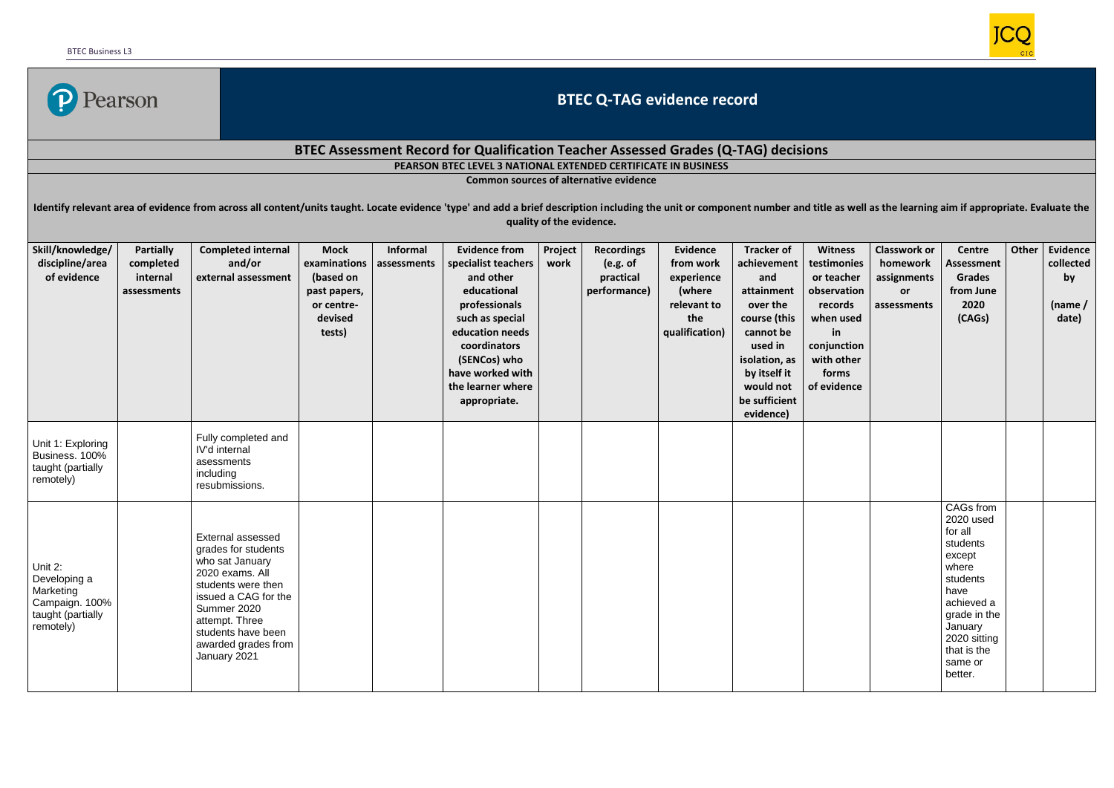

## **BTEC Q-TAG evidence record**

## **BTEC Assessment Record for Qualification Teacher Assessed Grades (Q-TAG) decisions**

**PEARSON BTEC LEVEL 3 NATIONAL EXTENDED CERTIFICATE IN BUSINESS**

**Common sources of alternative evidence**

Identify relevant area of evidence from across all content/units taught. Locate evidence 'type' and add a brief description including the unit or component number and title as well as the learning aim if appropriate. Evalu **quality of the evidence.**

| Skill/knowledge/<br>discipline/area<br>of evidence                                       | <b>Partially</b><br>completed<br>internal<br>assessments | <b>Completed internal</b><br>and/or<br>external assessment                                                                                                                                                                 | <b>Mock</b><br>examinations<br>(based on<br>past papers,<br>or centre-<br>devised<br>tests) | <b>Informal</b><br>assessments | <b>Evidence from</b><br>specialist teachers<br>and other<br>educational<br>professionals<br>such as special<br>education needs<br>coordinators<br>(SENCos) who<br>have worked with<br>the learner where<br>appropriate. | Project<br>work | <b>Recordings</b><br>(e.g. of<br>practical<br>performance) | <b>Evidence</b><br>from work<br>experience<br>(where<br>relevant to<br>the<br>qualification) | <b>Tracker of</b><br>achievement<br>and<br>attainment<br>over the<br>course (this<br>cannot be<br>used in<br>isolation, as<br>by itself it<br>would not<br>be sufficient<br>evidence) | <b>Witness</b><br>testimonies<br>or teacher<br>observation<br>records<br>when used<br>in<br>conjunction<br>with other<br>forms<br>of evidence | <b>Classwork or</b><br>homework<br>assignments<br>or<br>assessments | Centre<br><b>Assessment</b><br><b>Grades</b><br>from June<br>2020<br>(CAGs)                                                                                                        | Other | Evidence<br>collected<br>by<br>(name $/$<br>date) |
|------------------------------------------------------------------------------------------|----------------------------------------------------------|----------------------------------------------------------------------------------------------------------------------------------------------------------------------------------------------------------------------------|---------------------------------------------------------------------------------------------|--------------------------------|-------------------------------------------------------------------------------------------------------------------------------------------------------------------------------------------------------------------------|-----------------|------------------------------------------------------------|----------------------------------------------------------------------------------------------|---------------------------------------------------------------------------------------------------------------------------------------------------------------------------------------|-----------------------------------------------------------------------------------------------------------------------------------------------|---------------------------------------------------------------------|------------------------------------------------------------------------------------------------------------------------------------------------------------------------------------|-------|---------------------------------------------------|
| Unit 1: Exploring<br>Business. 100%<br>taught (partially<br>remotely)                    |                                                          | Fully completed and<br>IV'd internal<br>asessments<br>including<br>resubmissions.                                                                                                                                          |                                                                                             |                                |                                                                                                                                                                                                                         |                 |                                                            |                                                                                              |                                                                                                                                                                                       |                                                                                                                                               |                                                                     |                                                                                                                                                                                    |       |                                                   |
| Unit 2:<br>Developing a<br>Marketing<br>Campaign. 100%<br>taught (partially<br>remotely) |                                                          | External assessed<br>grades for students<br>who sat January<br>2020 exams. All<br>students were then<br>issued a CAG for the<br>Summer 2020<br>attempt. Three<br>students have been<br>awarded grades from<br>January 2021 |                                                                                             |                                |                                                                                                                                                                                                                         |                 |                                                            |                                                                                              |                                                                                                                                                                                       |                                                                                                                                               |                                                                     | CAGs from<br>2020 used<br>for all<br>students<br>except<br>where<br>students<br>have<br>achieved a<br>grade in the<br>January<br>2020 sitting<br>that is the<br>same or<br>better. |       |                                                   |